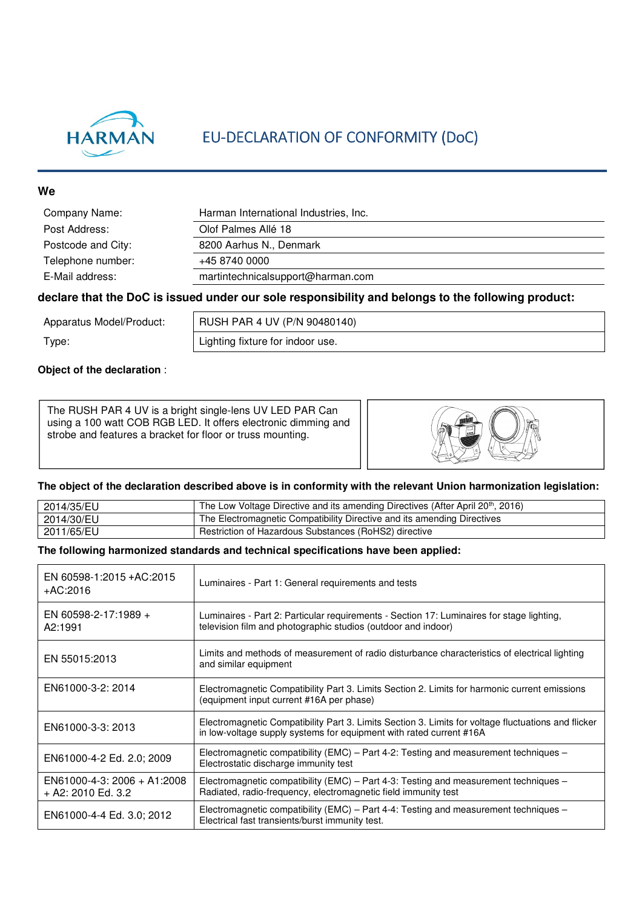

## EU-DECLARATION OF CONFORMITY (DoC)

#### **We**

| Company Name:      | Harman International Industries, Inc. |
|--------------------|---------------------------------------|
| Post Address:      | Olof Palmes Allé 18                   |
| Postcode and City: | 8200 Aarhus N., Denmark               |
| Telephone number:  | +45 8740 0000                         |
| E-Mail address:    | martintechnicalsupport@harman.com     |
|                    |                                       |

#### **declare that the DoC is issued under our sole responsibility and belongs to the following product:**

Apparatus Model/Product: | RUSH PAR 4 UV (P/N 90480140)

Type:  $\vert$  Lighting fixture for indoor use.

#### **Object of the declaration** :

The RUSH PAR 4 UV is a bright single-lens UV LED PAR Can using a 100 watt COB RGB LED. It offers electronic dimming and strobe and features a bracket for floor or truss mounting.



#### **The object of the declaration described above is in conformity with the relevant Union harmonization legislation:**

| 2014/35/EU | The Low Voltage Directive and its amending Directives (After April 20 <sup>th</sup> , 2016) |
|------------|---------------------------------------------------------------------------------------------|
| 2014/30/EU | The Electromagnetic Compatibility Directive and its amending Directives                     |
| 2011/65/EU | Restriction of Hazardous Substances (RoHS2) directive                                       |

#### **The following harmonized standards and technical specifications have been applied:**

| EN 60598-1:2015 + AC:2015<br>+AC:2016               | Luminaires - Part 1: General requirements and tests                                                                                                                        |
|-----------------------------------------------------|----------------------------------------------------------------------------------------------------------------------------------------------------------------------------|
| EN 60598-2-17:1989 +<br>A2:1991                     | Luminaires - Part 2: Particular requirements - Section 17: Luminaires for stage lighting,<br>television film and photographic studios (outdoor and indoor)                 |
| EN 55015:2013                                       | Limits and methods of measurement of radio disturbance characteristics of electrical lighting<br>and similar equipment                                                     |
| EN61000-3-2: 2014                                   | Electromagnetic Compatibility Part 3. Limits Section 2. Limits for harmonic current emissions<br>(equipment input current #16A per phase)                                  |
| EN61000-3-3: 2013                                   | Electromagnetic Compatibility Part 3. Limits Section 3. Limits for voltage fluctuations and flicker<br>in low-voltage supply systems for equipment with rated current #16A |
| EN61000-4-2 Ed. 2.0; 2009                           | Electromagnetic compatibility (EMC) – Part 4-2: Testing and measurement techniques –<br>Electrostatic discharge immunity test                                              |
| $EN61000-4-3: 2006 + A1:2008$<br>+ A2: 2010 Ed. 3.2 | Electromagnetic compatibility (EMC) – Part 4-3: Testing and measurement techniques –<br>Radiated, radio-frequency, electromagnetic field immunity test                     |
| EN61000-4-4 Ed. 3.0; 2012                           | Electromagnetic compatibility (EMC) – Part 4-4: Testing and measurement techniques –<br>Electrical fast transients/burst immunity test.                                    |